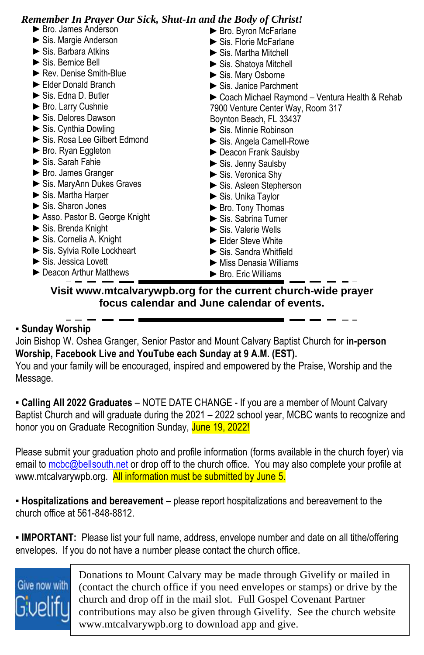| <b>Remember In Prayer Our Sick, Shut-In and the Body of Christ!</b> |                                                  |
|---------------------------------------------------------------------|--------------------------------------------------|
| ► Bro. James Anderson                                               | ► Bro. Byron McFarlane                           |
| $\triangleright$ Sis. Margie Anderson                               | $\triangleright$ Sis. Florie McFarlane           |
| $\triangleright$ Sis. Barbara Atkins                                | $\triangleright$ Sis. Martha Mitchell            |
| $\triangleright$ Sis. Bernice Bell                                  | Sis. Shatoya Mitchell                            |
| Rev. Denise Smith-Blue                                              | Sis. Mary Osborne                                |
| Elder Donald Branch                                                 | Sis. Janice Parchment                            |
| $\triangleright$ Sis. Edna D. Butler                                | ► Coach Michael Raymond – Ventura Health & Rehab |
| ▶ Bro. Larry Cushnie                                                | 7900 Venture Center Way, Room 317                |
| Sis. Delores Dawson                                                 | Boynton Beach, FL 33437                          |
| $\triangleright$ Sis. Cynthia Dowling                               | $\blacktriangleright$ Sis. Minnie Robinson       |
| Sis. Rosa Lee Gilbert Edmond                                        | Sis. Angela Camell-Rowe                          |
| $\triangleright$ Bro. Ryan Eggleton                                 | ► Deacon Frank Saulsby                           |
| $\triangleright$ Sis. Sarah Fahie                                   | $\triangleright$ Sis. Jenny Saulsby              |
| ► Bro. James Granger                                                | $\triangleright$ Sis. Veronica Shy               |
| Sis. MaryAnn Dukes Graves                                           | Sis. Asleen Stepherson                           |
| $\triangleright$ Sis. Martha Harper                                 | Sis. Unika Taylor                                |
| $\triangleright$ Sis. Sharon Jones                                  | ► Bro. Tony Thomas                               |
| ► Asso. Pastor B. George Knight                                     | Sis. Sabrina Turner                              |
| $\triangleright$ Sis. Brenda Knight                                 | $\triangleright$ Sis. Valerie Wells              |
| Sis. Cornelia A. Knight                                             | Elder Steve White                                |
| Sis. Sylvia Rolle Lockheart                                         | $\triangleright$ Sis. Sandra Whitfield           |
| $\triangleright$ Sis. Jessica Lovett                                | $\blacktriangleright$ Miss Denasia Williams      |
| ► Deacon Arthur Matthews                                            | $\blacktriangleright$ Bro. Eric Williams         |

**Visit www.mtcalvarywpb.org for the current church-wide prayer focus calendar and June calendar of events.**

> ► S

#### **▪ Sunday Worship**

Join Bishop W. Oshea Granger, Senior Pastor and Mount Calvary Baptist Church for **in-person Worship, Facebook Live and YouTube each Sunday at 9 A.M. (EST).** s i

You and your family will be encouraged, inspired and empowered by the Praise, Worship and the You and your family will be encouraged, inspired and empowered by the Praise, Worship and the Message.

**- Calling All 2022 Graduates** - NOTE DATE CHANGE - If you are a member of Mount Calvary Baptist Church and will graduate during the 2021 - 2022 school year, MCBC wants to recognize and honor you on Graduate Recognition Sunday, June 19, 2022!

Please submit your graduation photo and profile information (forms available in the church foyer) via e email to mobc@bellsouth.net or drop off to the church office. You may also complete your profile at email to mobc@bellsouth.net or drop off to the church office. You may also complete your profile at www.mtcalvarywpb.org. <mark>All information must be submitted by June 5.</mark>

▪ **Hospitalizations and bereavement** – please report hospitalizations and bereavement to the church office at 561-848-8812. l

• IMPORTANT: Please list your full name, address, envelope number and date on all tithe/offering envelopes. If you do not have a number please contact the church office. –

# Give now with

 $\mathbf{u}$ (contact the church office if you need envelopes or stamps) or drive by the church and drop off in the mail slot. Full Gospel Covenant Partner contributions may also be given through Givelify. See the church website www.mtcalvarywpb.org to download app and give. y Donations to Mount Calvary may be made through Givelify or mailed in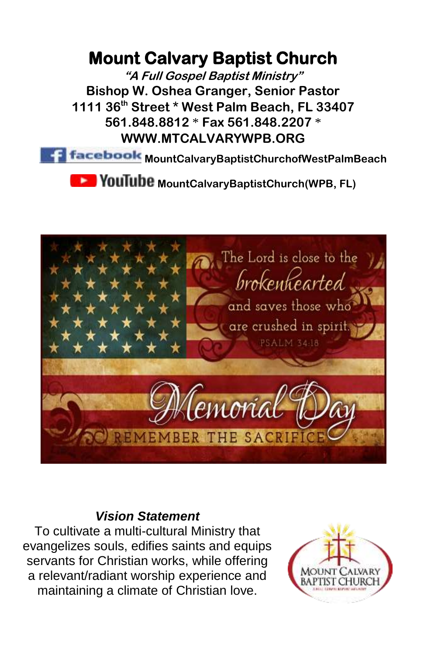### **Mount Calvary Baptist Church**

**"A Full Gospel Baptist Ministry" Bishop W. Oshea Granger, Senior Pastor 1111 36th Street \* West Palm Beach, FL 33407 561.848.8812** \* **Fax 561.848.2207** \* **WWW.MTCALVARYWPB.ORG** 

**MountCalvaryBaptistChurchofWestPalmBeach** 

**Moult Libe MountCalvaryBaptistChurch(WPB, FL)** 



#### *Vision Statement*

To cultivate a multi-cultural Ministry that evangelizes souls, edifies saints and equips servants for Christian works, while offering a relevant/radiant worship experience and maintaining a climate of Christian love.

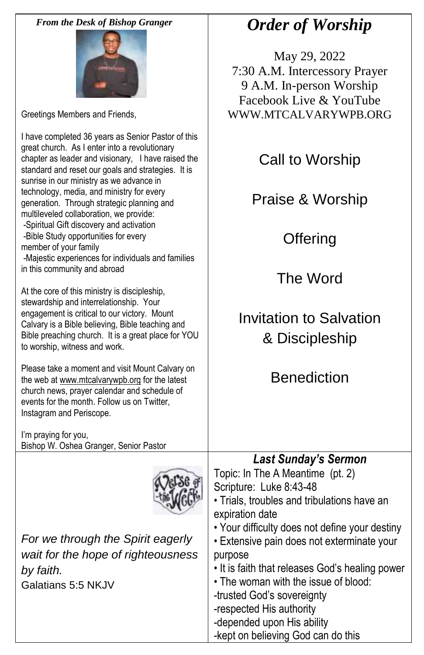*From the Desk of Bishop Granger*



Greetings Members and Friends,

I have completed 36 years as Senior Pastor of this great church. As I enter into a revolutionary chapter as leader and visionary, I have raised the standard and reset our goals and strategies. It is sunrise in our ministry as we advance in technology, media, and ministry for every generation. Through strategic planning and multileveled collaboration, we provide: -Spiritual Gift discovery and activation -Bible Study opportunities for every member of your family -Majestic experiences for individuals and families in this community and abroad At the core of this ministry is discipleship, stewardship and interrelationship. Your engagement is critical to our victory. Mount Calvary is a Bible believing, Bible teaching and Bible preaching church. It is a great place for YOU to worship, witness and work. Please take a moment and visit Mount Calvary on the web at www.mtcalvarywpb.org for the latest church news, prayer calendar and schedule of events for the month. Follow us on Twitter, Instagram and Periscope. I'm praying for you, Bishop W. Oshea Granger, Senior Pastor Call to Worship Praise & Worship **Offering** The Word Invitation to Salvation & Discipleship Benediction *For we through the Spirit eagerly wait for the hope of righteousness by faith.* Galatians 5:5 NKJV *Last Sunday's Sermon* Topic: In The A Meantime (pt. 2) Scripture: Luke 8:43-48 • Trials, troubles and tribulations have an expiration date • Your difficulty does not define your destiny • Extensive pain does not exterminate your purpose • It is faith that releases God's healing power • The woman with the issue of blood: -trusted God's sovereignty -respected His authority -depended upon His ability -kept on believing God can do this

## *Order of Worship*

May 29, 2022 7:30 A.M. Intercessory Prayer 9 A.M. In-person Worship Facebook Live & YouTube WWW.MTCALVARYWPB.ORG